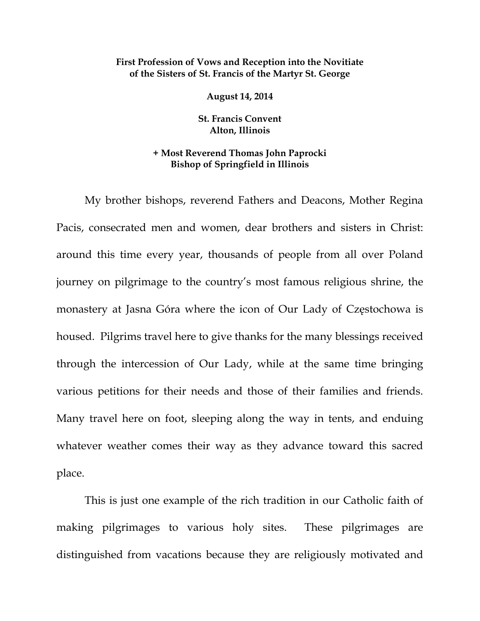## **First Profession of Vows and Reception into the Novitiate of the Sisters of St. Francis of the Martyr St. George**

**August 14, 2014** 

**St. Francis Convent Alton, Illinois** 

## **+ Most Reverend Thomas John Paprocki Bishop of Springfield in Illinois**

My brother bishops, reverend Fathers and Deacons, Mother Regina Pacis, consecrated men and women, dear brothers and sisters in Christ: around this time every year, thousands of people from all over Poland journey on pilgrimage to the country's most famous religious shrine, the monastery at Jasna Góra where the icon of Our Lady of Częstochowa is housed. Pilgrims travel here to give thanks for the many blessings received through the intercession of Our Lady, while at the same time bringing various petitions for their needs and those of their families and friends. Many travel here on foot, sleeping along the way in tents, and enduing whatever weather comes their way as they advance toward this sacred place.

This is just one example of the rich tradition in our Catholic faith of making pilgrimages to various holy sites. These pilgrimages are distinguished from vacations because they are religiously motivated and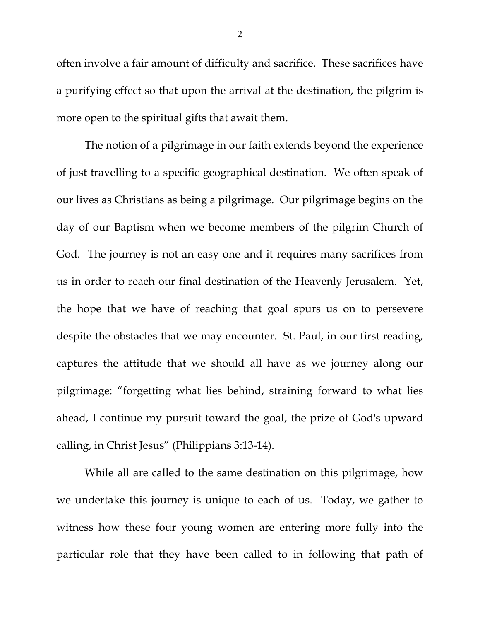often involve a fair amount of difficulty and sacrifice. These sacrifices have a purifying effect so that upon the arrival at the destination, the pilgrim is more open to the spiritual gifts that await them.

The notion of a pilgrimage in our faith extends beyond the experience of just travelling to a specific geographical destination. We often speak of our lives as Christians as being a pilgrimage. Our pilgrimage begins on the day of our Baptism when we become members of the pilgrim Church of God. The journey is not an easy one and it requires many sacrifices from us in order to reach our final destination of the Heavenly Jerusalem. Yet, the hope that we have of reaching that goal spurs us on to persevere despite the obstacles that we may encounter. St. Paul, in our first reading, captures the attitude that we should all have as we journey along our pilgrimage: "forgetting what lies behind, straining forward to what lies ahead, I continue my pursuit toward the goal, the prize of God's upward calling, in Christ Jesus" (Philippians 3:13-14).

While all are called to the same destination on this pilgrimage, how we undertake this journey is unique to each of us. Today, we gather to witness how these four young women are entering more fully into the particular role that they have been called to in following that path of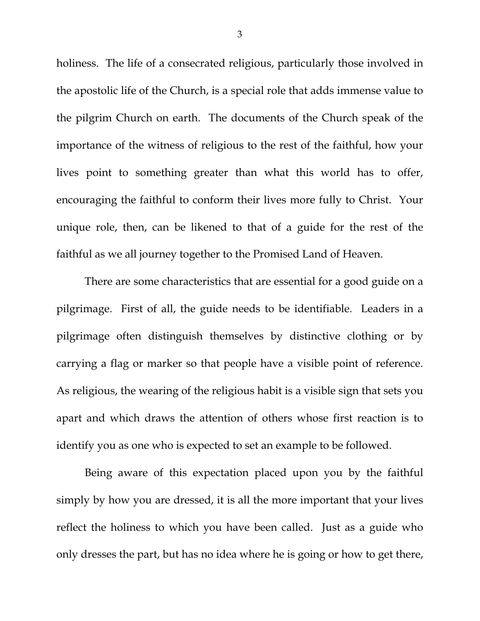holiness. The life of a consecrated religious, particularly those involved in the apostolic life of the Church, is a special role that adds immense value to the pilgrim Church on earth. The documents of the Church speak of the importance of the witness of religious to the rest of the faithful, how your lives point to something greater than what this world has to offer, encouraging the faithful to conform their lives more fully to Christ. Your unique role, then, can be likened to that of a guide for the rest of the faithful as we all journey together to the Promised Land of Heaven.

There are some characteristics that are essential for a good guide on a pilgrimage. First of all, the guide needs to be identifiable. Leaders in a pilgrimage often distinguish themselves by distinctive clothing or by carrying a flag or marker so that people have a visible point of reference. As religious, the wearing of the religious habit is a visible sign that sets you apart and which draws the attention of others whose first reaction is to identify you as one who is expected to set an example to be followed.

Being aware of this expectation placed upon you by the faithful simply by how you are dressed, it is all the more important that your lives reflect the holiness to which you have been called. Just as a guide who only dresses the part, but has no idea where he is going or how to get there,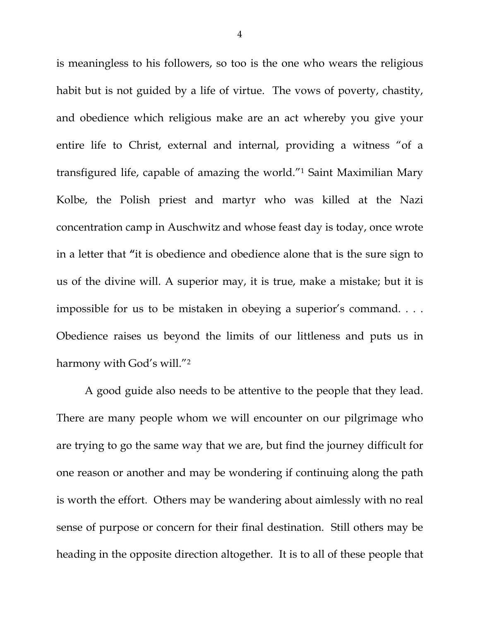is meaningless to his followers, so too is the one who wears the religious habit but is not guided by a life of virtue. The vows of poverty, chastity, and obedience which religious make are an act whereby you give your entire life to Christ, external and internal, providing a witness "of a transfigured life, capable of amazing the world."1 Saint Maximilian Mary Kolbe, the Polish priest and martyr who was killed at the Nazi concentration camp in Auschwitz and whose feast day is today, once wrote in a letter that **"**it is obedience and obedience alone that is the sure sign to us of the divine will. A superior may, it is true, make a mistake; but it is impossible for us to be mistaken in obeying a superior's command. . . . Obedience raises us beyond the limits of our littleness and puts us in harmony with God's will."2

A good guide also needs to be attentive to the people that they lead. There are many people whom we will encounter on our pilgrimage who are trying to go the same way that we are, but find the journey difficult for one reason or another and may be wondering if continuing along the path is worth the effort. Others may be wandering about aimlessly with no real sense of purpose or concern for their final destination. Still others may be heading in the opposite direction altogether. It is to all of these people that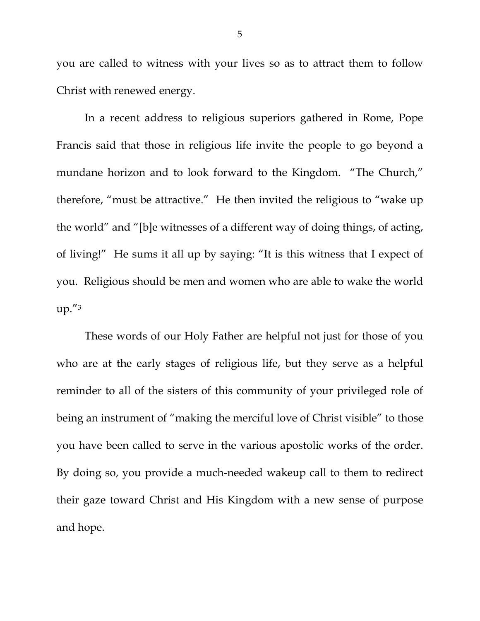you are called to witness with your lives so as to attract them to follow Christ with renewed energy.

In a recent address to religious superiors gathered in Rome, Pope Francis said that those in religious life invite the people to go beyond a mundane horizon and to look forward to the Kingdom. "The Church," therefore, "must be attractive." He then invited the religious to "wake up the world" and "[b]e witnesses of a different way of doing things, of acting, of living!" He sums it all up by saying: "It is this witness that I expect of you. Religious should be men and women who are able to wake the world up."3

These words of our Holy Father are helpful not just for those of you who are at the early stages of religious life, but they serve as a helpful reminder to all of the sisters of this community of your privileged role of being an instrument of "making the merciful love of Christ visible" to those you have been called to serve in the various apostolic works of the order. By doing so, you provide a much-needed wakeup call to them to redirect their gaze toward Christ and His Kingdom with a new sense of purpose and hope.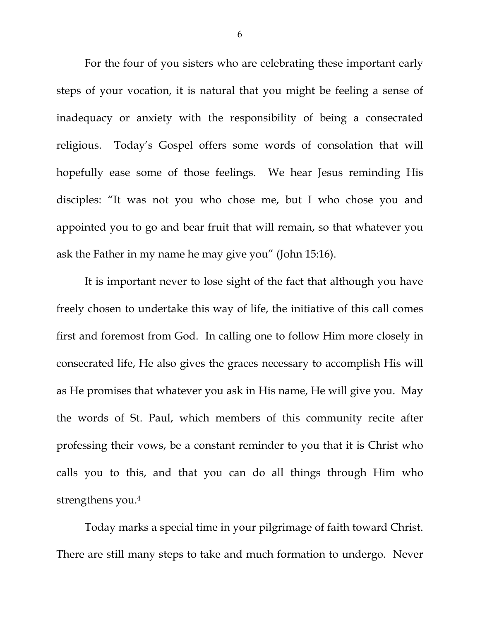For the four of you sisters who are celebrating these important early steps of your vocation, it is natural that you might be feeling a sense of inadequacy or anxiety with the responsibility of being a consecrated religious. Today's Gospel offers some words of consolation that will hopefully ease some of those feelings. We hear Jesus reminding His disciples: "It was not you who chose me, but I who chose you and appointed you to go and bear fruit that will remain, so that whatever you ask the Father in my name he may give you" (John 15:16).

It is important never to lose sight of the fact that although you have freely chosen to undertake this way of life, the initiative of this call comes first and foremost from God. In calling one to follow Him more closely in consecrated life, He also gives the graces necessary to accomplish His will as He promises that whatever you ask in His name, He will give you. May the words of St. Paul, which members of this community recite after professing their vows, be a constant reminder to you that it is Christ who calls you to this, and that you can do all things through Him who strengthens you.4

Today marks a special time in your pilgrimage of faith toward Christ. There are still many steps to take and much formation to undergo. Never

6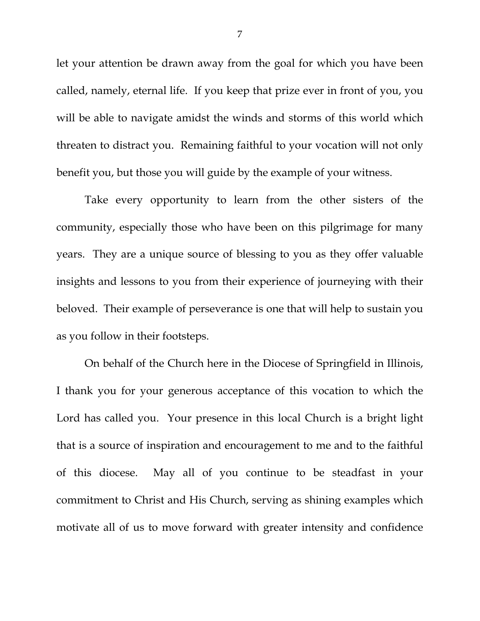let your attention be drawn away from the goal for which you have been called, namely, eternal life. If you keep that prize ever in front of you, you will be able to navigate amidst the winds and storms of this world which threaten to distract you. Remaining faithful to your vocation will not only benefit you, but those you will guide by the example of your witness.

Take every opportunity to learn from the other sisters of the community, especially those who have been on this pilgrimage for many years. They are a unique source of blessing to you as they offer valuable insights and lessons to you from their experience of journeying with their beloved. Their example of perseverance is one that will help to sustain you as you follow in their footsteps.

On behalf of the Church here in the Diocese of Springfield in Illinois, I thank you for your generous acceptance of this vocation to which the Lord has called you. Your presence in this local Church is a bright light that is a source of inspiration and encouragement to me and to the faithful of this diocese. May all of you continue to be steadfast in your commitment to Christ and His Church, serving as shining examples which motivate all of us to move forward with greater intensity and confidence

7